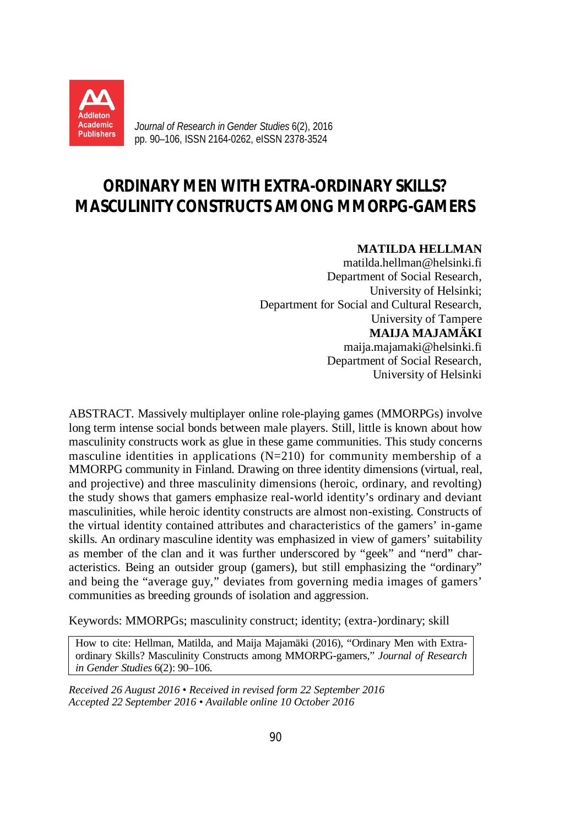

*Journal of Research in Gender Studies* 6(2), 2016 pp. 90–106, ISSN 2164-0262, eISSN 2378-3524

# **ORDINARY MEN WITH EXTRA-ORDINARY SKILLS? MASCULINITY CONSTRUCTS AMONG MMORPG-GAMERS**

### **MATILDA HELLMAN**

matilda.hellman@helsinki.fi Department of Social Research, University of Helsinki; Department for Social and Cultural Research, University of Tampere **MAIJA MAJAMÄKI** maija.majamaki@helsinki.fi Department of Social Research, University of Helsinki

ABSTRACT. Massively multiplayer online role-playing games (MMORPGs) involve long term intense social bonds between male players. Still, little is known about how masculinity constructs work as glue in these game communities. This study concerns masculine identities in applications  $(N=210)$  for community membership of a MMORPG community in Finland. Drawing on three identity dimensions (virtual, real, and projective) and three masculinity dimensions (heroic, ordinary, and revolting) the study shows that gamers emphasize real-world identity's ordinary and deviant masculinities, while heroic identity constructs are almost non-existing. Constructs of the virtual identity contained attributes and characteristics of the gamers' in-game skills. An ordinary masculine identity was emphasized in view of gamers' suitability as member of the clan and it was further underscored by "geek" and "nerd" characteristics. Being an outsider group (gamers), but still emphasizing the "ordinary" and being the "average guy," deviates from governing media images of gamers' communities as breeding grounds of isolation and aggression.

Keywords: MMORPGs; masculinity construct; identity; (extra-)ordinary; skill

How to cite: Hellman, Matilda, and Maija Majamäki (2016), "Ordinary Men with Extraordinary Skills? Masculinity Constructs among MMORPG-gamers," *Journal of Research in Gender Studies* 6(2): 90–106.

*Received 26 August 2016 • Received in revised form 22 September 2016 Accepted 22 September 2016 • Available online 10 October 2016*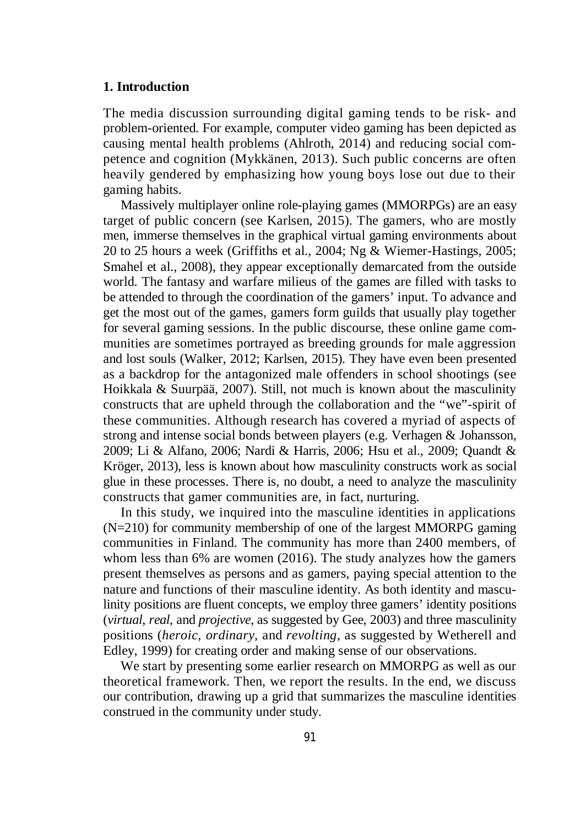# **1. Introduction**

The media discussion surrounding digital gaming tends to be risk- and problem-oriented. For example, computer video gaming has been depicted as causing mental health problems (Ahlroth, 2014) and reducing social competence and cognition (Mykkänen, 2013). Such public concerns are often heavily gendered by emphasizing how young boys lose out due to their gaming habits.

Massively multiplayer online role-playing games (MMORPGs) are an easy target of public concern (see Karlsen, 2015). The gamers, who are mostly men, immerse themselves in the graphical virtual gaming environments about 20 to 25 hours a week (Griffiths et al., 2004; Ng & Wiemer-Hastings, 2005; Smahel et al., 2008), they appear exceptionally demarcated from the outside world. The fantasy and warfare milieus of the games are filled with tasks to be attended to through the coordination of the gamers' input. To advance and get the most out of the games, gamers form guilds that usually play together for several gaming sessions. In the public discourse, these online game communities are sometimes portrayed as breeding grounds for male aggression and lost souls (Walker, 2012; Karlsen, 2015). They have even been presented as a backdrop for the antagonized male offenders in school shootings (see Hoikkala & Suurpää, 2007). Still, not much is known about the masculinity constructs that are upheld through the collaboration and the "we"-spirit of these communities. Although research has covered a myriad of aspects of strong and intense social bonds between players (e.g. Verhagen & Johansson, 2009; Li & Alfano, 2006; Nardi & Harris, 2006; Hsu et al., 2009; Quandt & Kröger, 2013), less is known about how masculinity constructs work as social glue in these processes. There is, no doubt, a need to analyze the masculinity constructs that gamer communities are, in fact, nurturing.

In this study, we inquired into the masculine identities in applications (N=210) for community membership of one of the largest MMORPG gaming communities in Finland. The community has more than 2400 members, of whom less than 6% are women (2016). The study analyzes how the gamers present themselves as persons and as gamers, paying special attention to the nature and functions of their masculine identity. As both identity and masculinity positions are fluent concepts, we employ three gamers' identity positions (*virtual*, *real*, and *projective*, as suggested by Gee, 2003) and three masculinity positions (*heroic*, *ordinary*, and *revolting*, as suggested by Wetherell and Edley, 1999) for creating order and making sense of our observations.

We start by presenting some earlier research on MMORPG as well as our theoretical framework. Then, we report the results. In the end, we discuss our contribution, drawing up a grid that summarizes the masculine identities construed in the community under study.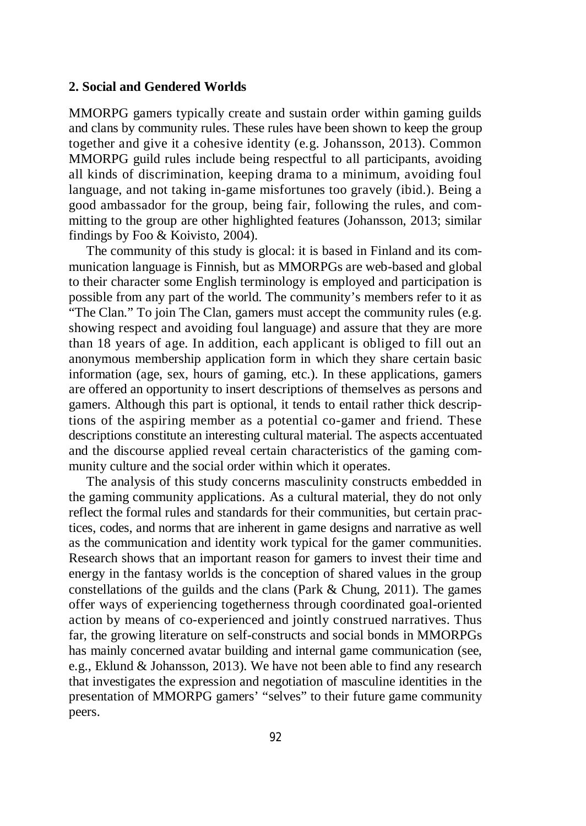#### **2. Social and Gendered Worlds**

MMORPG gamers typically create and sustain order within gaming guilds and clans by community rules. These rules have been shown to keep the group together and give it a cohesive identity (e.g. Johansson, 2013). Common MMORPG guild rules include being respectful to all participants, avoiding all kinds of discrimination, keeping drama to a minimum, avoiding foul language, and not taking in-game misfortunes too gravely (ibid.). Being a good ambassador for the group, being fair, following the rules, and committing to the group are other highlighted features (Johansson, 2013; similar findings by Foo & Koivisto, 2004).

The community of this study is glocal: it is based in Finland and its communication language is Finnish, but as MMORPGs are web-based and global to their character some English terminology is employed and participation is possible from any part of the world. The community's members refer to it as "The Clan." To join The Clan, gamers must accept the community rules (e.g. showing respect and avoiding foul language) and assure that they are more than 18 years of age. In addition, each applicant is obliged to fill out an anonymous membership application form in which they share certain basic information (age, sex, hours of gaming, etc.). In these applications, gamers are offered an opportunity to insert descriptions of themselves as persons and gamers. Although this part is optional, it tends to entail rather thick descriptions of the aspiring member as a potential co-gamer and friend. These descriptions constitute an interesting cultural material. The aspects accentuated and the discourse applied reveal certain characteristics of the gaming community culture and the social order within which it operates.

The analysis of this study concerns masculinity constructs embedded in the gaming community applications. As a cultural material, they do not only reflect the formal rules and standards for their communities, but certain practices, codes, and norms that are inherent in game designs and narrative as well as the communication and identity work typical for the gamer communities. Research shows that an important reason for gamers to invest their time and energy in the fantasy worlds is the conception of shared values in the group constellations of the guilds and the clans (Park & Chung, 2011). The games offer ways of experiencing togetherness through coordinated goal-oriented action by means of co-experienced and jointly construed narratives. Thus far, the growing literature on self-constructs and social bonds in MMORPGs has mainly concerned avatar building and internal game communication (see, e.g., Eklund & Johansson, 2013). We have not been able to find any research that investigates the expression and negotiation of masculine identities in the presentation of MMORPG gamers' "selves" to their future game community peers.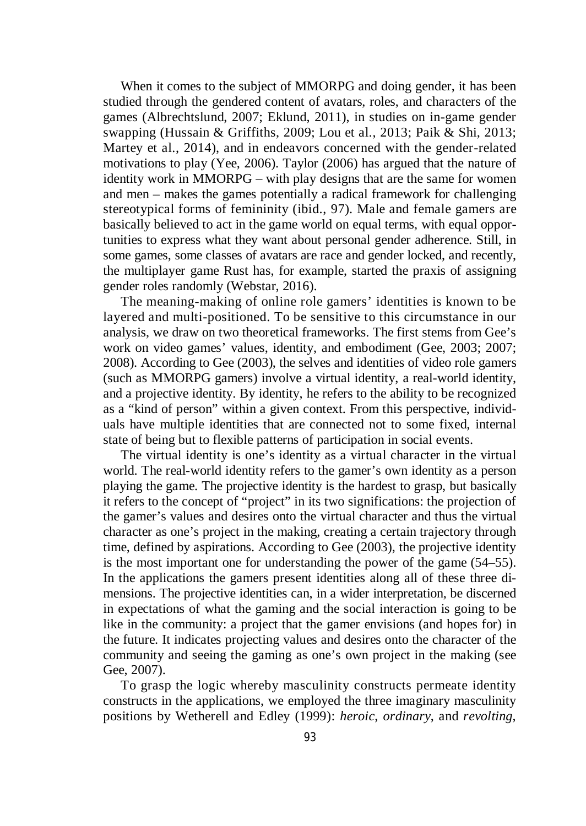When it comes to the subject of MMORPG and doing gender, it has been studied through the gendered content of avatars, roles, and characters of the games (Albrechtslund, 2007; Eklund, 2011), in studies on in-game gender swapping (Hussain & Griffiths, 2009; Lou et al., 2013; Paik & Shi, 2013; Martey et al., 2014), and in endeavors concerned with the gender-related motivations to play (Yee, 2006). Taylor (2006) has argued that the nature of identity work in MMORPG – with play designs that are the same for women and men – makes the games potentially a radical framework for challenging stereotypical forms of femininity (ibid., 97). Male and female gamers are basically believed to act in the game world on equal terms, with equal opportunities to express what they want about personal gender adherence. Still, in some games, some classes of avatars are race and gender locked, and recently, the multiplayer game Rust has, for example, started the praxis of assigning gender roles randomly (Webstar, 2016).

The meaning-making of online role gamers' identities is known to be layered and multi-positioned. To be sensitive to this circumstance in our analysis, we draw on two theoretical frameworks. The first stems from Gee's work on video games' values, identity, and embodiment (Gee, 2003; 2007; 2008). According to Gee (2003), the selves and identities of video role gamers (such as MMORPG gamers) involve a virtual identity, a real-world identity, and a projective identity. By identity, he refers to the ability to be recognized as a "kind of person" within a given context. From this perspective, individuals have multiple identities that are connected not to some fixed, internal state of being but to flexible patterns of participation in social events.

The virtual identity is one's identity as a virtual character in the virtual world. The real-world identity refers to the gamer's own identity as a person playing the game. The projective identity is the hardest to grasp, but basically it refers to the concept of "project" in its two significations: the projection of the gamer's values and desires onto the virtual character and thus the virtual character as one's project in the making, creating a certain trajectory through time, defined by aspirations. According to Gee (2003), the projective identity is the most important one for understanding the power of the game (54–55). In the applications the gamers present identities along all of these three dimensions. The projective identities can, in a wider interpretation, be discerned in expectations of what the gaming and the social interaction is going to be like in the community: a project that the gamer envisions (and hopes for) in the future. It indicates projecting values and desires onto the character of the community and seeing the gaming as one's own project in the making (see Gee, 2007).

To grasp the logic whereby masculinity constructs permeate identity constructs in the applications, we employed the three imaginary masculinity positions by Wetherell and Edley (1999): *heroic*, *ordinary*, and *revolting*,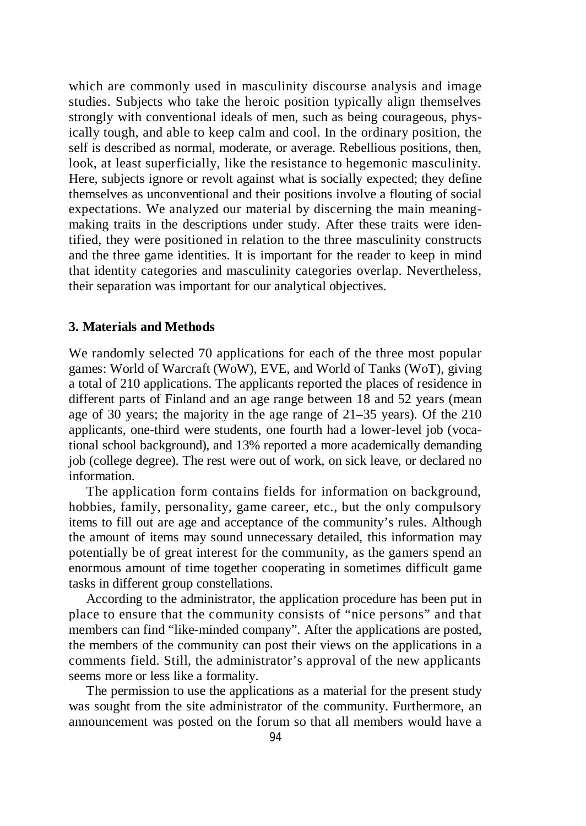which are commonly used in masculinity discourse analysis and image studies. Subjects who take the heroic position typically align themselves strongly with conventional ideals of men, such as being courageous, physically tough, and able to keep calm and cool. In the ordinary position, the self is described as normal, moderate, or average. Rebellious positions, then, look, at least superficially, like the resistance to hegemonic masculinity. Here, subjects ignore or revolt against what is socially expected; they define themselves as unconventional and their positions involve a flouting of social expectations. We analyzed our material by discerning the main meaningmaking traits in the descriptions under study. After these traits were identified, they were positioned in relation to the three masculinity constructs and the three game identities. It is important for the reader to keep in mind that identity categories and masculinity categories overlap. Nevertheless, their separation was important for our analytical objectives.

# **3. Materials and Methods**

We randomly selected 70 applications for each of the three most popular games: World of Warcraft (WoW), EVE, and World of Tanks (WoT), giving a total of 210 applications. The applicants reported the places of residence in different parts of Finland and an age range between 18 and 52 years (mean age of 30 years; the majority in the age range of 21–35 years). Of the 210 applicants, one-third were students, one fourth had a lower-level job (vocational school background), and 13% reported a more academically demanding job (college degree). The rest were out of work, on sick leave, or declared no information.

The application form contains fields for information on background, hobbies, family, personality, game career, etc., but the only compulsory items to fill out are age and acceptance of the community's rules. Although the amount of items may sound unnecessary detailed, this information may potentially be of great interest for the community, as the gamers spend an enormous amount of time together cooperating in sometimes difficult game tasks in different group constellations.

According to the administrator, the application procedure has been put in place to ensure that the community consists of "nice persons" and that members can find "like-minded company". After the applications are posted, the members of the community can post their views on the applications in a comments field. Still, the administrator's approval of the new applicants seems more or less like a formality.

The permission to use the applications as a material for the present study was sought from the site administrator of the community. Furthermore, an announcement was posted on the forum so that all members would have a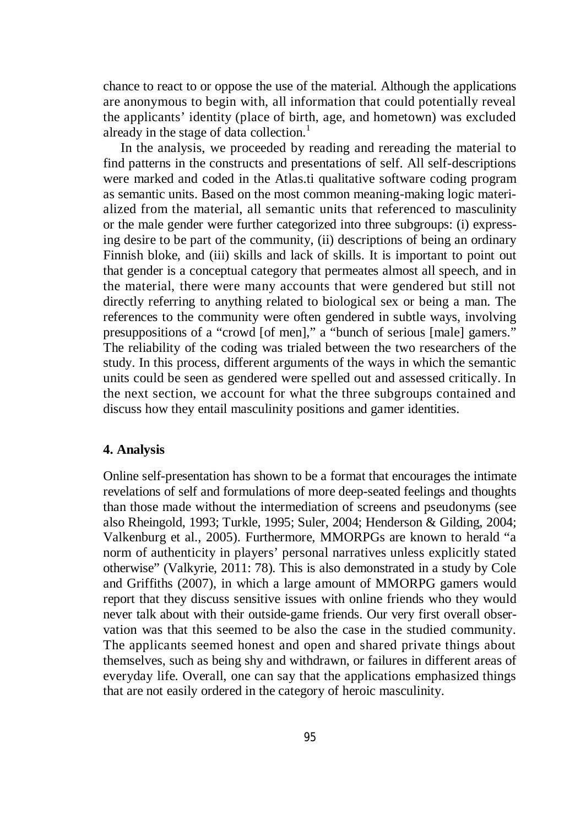chance to react to or oppose the use of the material. Although the applications are anonymous to begin with, all information that could potentially reveal the applicants' identity (place of birth, age, and hometown) was excluded already in the stage of data collection.<sup>1</sup>

In the analysis, we proceeded by reading and rereading the material to find patterns in the constructs and presentations of self. All self-descriptions were marked and coded in the Atlas.ti qualitative software coding program as semantic units. Based on the most common meaning-making logic materialized from the material, all semantic units that referenced to masculinity or the male gender were further categorized into three subgroups: (i) expressing desire to be part of the community, (ii) descriptions of being an ordinary Finnish bloke, and (iii) skills and lack of skills. It is important to point out that gender is a conceptual category that permeates almost all speech, and in the material, there were many accounts that were gendered but still not directly referring to anything related to biological sex or being a man. The references to the community were often gendered in subtle ways, involving presuppositions of a "crowd [of men]," a "bunch of serious [male] gamers." The reliability of the coding was trialed between the two researchers of the study. In this process, different arguments of the ways in which the semantic units could be seen as gendered were spelled out and assessed critically. In the next section, we account for what the three subgroups contained and discuss how they entail masculinity positions and gamer identities.

#### **4. Analysis**

Online self-presentation has shown to be a format that encourages the intimate revelations of self and formulations of more deep-seated feelings and thoughts than those made without the intermediation of screens and pseudonyms (see also Rheingold, 1993; Turkle, 1995; Suler, 2004; Henderson & Gilding, 2004; Valkenburg et al., 2005). Furthermore, MMORPGs are known to herald "a norm of authenticity in players' personal narratives unless explicitly stated otherwise" (Valkyrie, 2011: 78). This is also demonstrated in a study by Cole and Griffiths (2007), in which a large amount of MMORPG gamers would report that they discuss sensitive issues with online friends who they would never talk about with their outside-game friends. Our very first overall observation was that this seemed to be also the case in the studied community. The applicants seemed honest and open and shared private things about themselves, such as being shy and withdrawn, or failures in different areas of everyday life. Overall, one can say that the applications emphasized things that are not easily ordered in the category of heroic masculinity.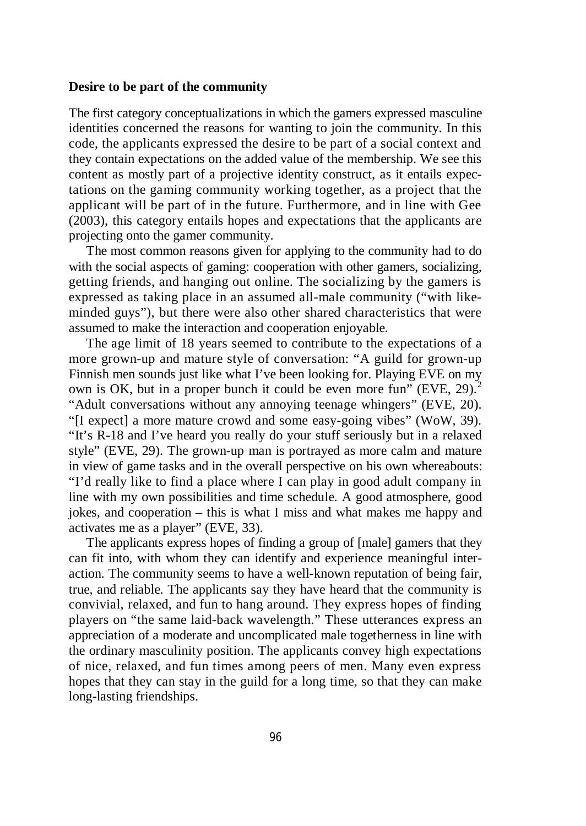## **Desire to be part of the community**

The first category conceptualizations in which the gamers expressed masculine identities concerned the reasons for wanting to join the community. In this code, the applicants expressed the desire to be part of a social context and they contain expectations on the added value of the membership. We see this content as mostly part of a projective identity construct, as it entails expectations on the gaming community working together, as a project that the applicant will be part of in the future. Furthermore, and in line with Gee (2003), this category entails hopes and expectations that the applicants are projecting onto the gamer community.

The most common reasons given for applying to the community had to do with the social aspects of gaming: cooperation with other gamers, socializing, getting friends, and hanging out online. The socializing by the gamers is expressed as taking place in an assumed all-male community ("with likeminded guys"), but there were also other shared characteristics that were assumed to make the interaction and cooperation enjoyable.

The age limit of 18 years seemed to contribute to the expectations of a more grown-up and mature style of conversation: "A guild for grown-up Finnish men sounds just like what I've been looking for. Playing EVE on my own is OK, but in a proper bunch it could be even more fun" (EVE, 29). $<sup>2</sup>$ </sup> "Adult conversations without any annoying teenage whingers" (EVE, 20). "[I expect] a more mature crowd and some easy-going vibes" (WoW, 39). "It's R-18 and I've heard you really do your stuff seriously but in a relaxed style" (EVE, 29). The grown-up man is portrayed as more calm and mature in view of game tasks and in the overall perspective on his own whereabouts: "I'd really like to find a place where I can play in good adult company in line with my own possibilities and time schedule. A good atmosphere, good jokes, and cooperation – this is what I miss and what makes me happy and activates me as a player" (EVE, 33).

The applicants express hopes of finding a group of [male] gamers that they can fit into, with whom they can identify and experience meaningful interaction. The community seems to have a well-known reputation of being fair, true, and reliable. The applicants say they have heard that the community is convivial, relaxed, and fun to hang around. They express hopes of finding players on "the same laid-back wavelength." These utterances express an appreciation of a moderate and uncomplicated male togetherness in line with the ordinary masculinity position. The applicants convey high expectations of nice, relaxed, and fun times among peers of men. Many even express hopes that they can stay in the guild for a long time, so that they can make long-lasting friendships.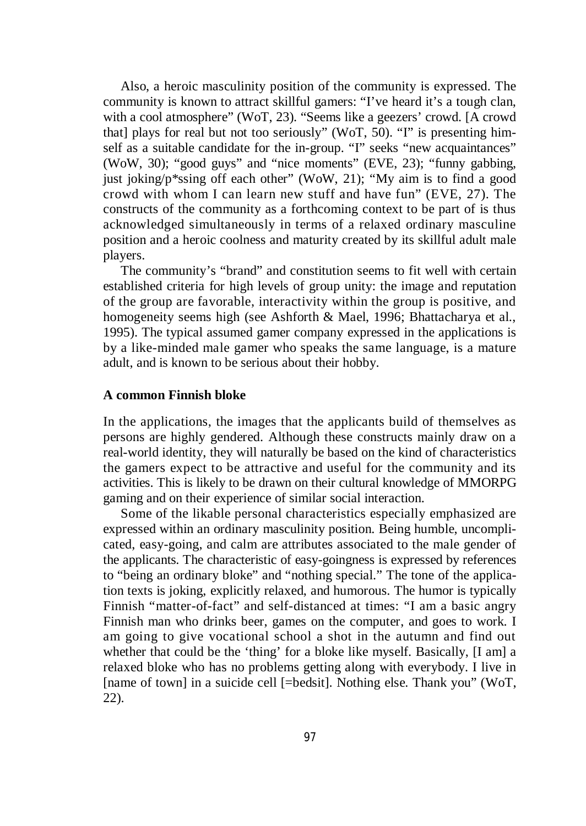Also, a heroic masculinity position of the community is expressed. The community is known to attract skillful gamers: "I've heard it's a tough clan, with a cool atmosphere" (WoT, 23). "Seems like a geezers' crowd. [A crowd that] plays for real but not too seriously" (WoT, 50). "I" is presenting himself as a suitable candidate for the in-group. "I" seeks "new acquaintances" (WoW, 30); "good guys" and "nice moments" (EVE, 23); "funny gabbing, just joking/p\*ssing off each other" (WoW, 21); "My aim is to find a good crowd with whom I can learn new stuff and have fun" (EVE, 27). The constructs of the community as a forthcoming context to be part of is thus acknowledged simultaneously in terms of a relaxed ordinary masculine position and a heroic coolness and maturity created by its skillful adult male players.

The community's "brand" and constitution seems to fit well with certain established criteria for high levels of group unity: the image and reputation of the group are favorable, interactivity within the group is positive, and homogeneity seems high (see Ashforth & Mael, 1996; Bhattacharya et al., 1995). The typical assumed gamer company expressed in the applications is by a like-minded male gamer who speaks the same language, is a mature adult, and is known to be serious about their hobby.

## **A common Finnish bloke**

In the applications, the images that the applicants build of themselves as persons are highly gendered. Although these constructs mainly draw on a real-world identity, they will naturally be based on the kind of characteristics the gamers expect to be attractive and useful for the community and its activities. This is likely to be drawn on their cultural knowledge of MMORPG gaming and on their experience of similar social interaction.

Some of the likable personal characteristics especially emphasized are expressed within an ordinary masculinity position. Being humble, uncomplicated, easy-going, and calm are attributes associated to the male gender of the applicants. The characteristic of easy-goingness is expressed by references to "being an ordinary bloke" and "nothing special." The tone of the application texts is joking, explicitly relaxed, and humorous. The humor is typically Finnish "matter-of-fact" and self-distanced at times: "I am a basic angry Finnish man who drinks beer, games on the computer, and goes to work. I am going to give vocational school a shot in the autumn and find out whether that could be the 'thing' for a bloke like myself. Basically, [I am] a relaxed bloke who has no problems getting along with everybody. I live in [name of town] in a suicide cell [=bedsit]. Nothing else. Thank you" (WoT, 22).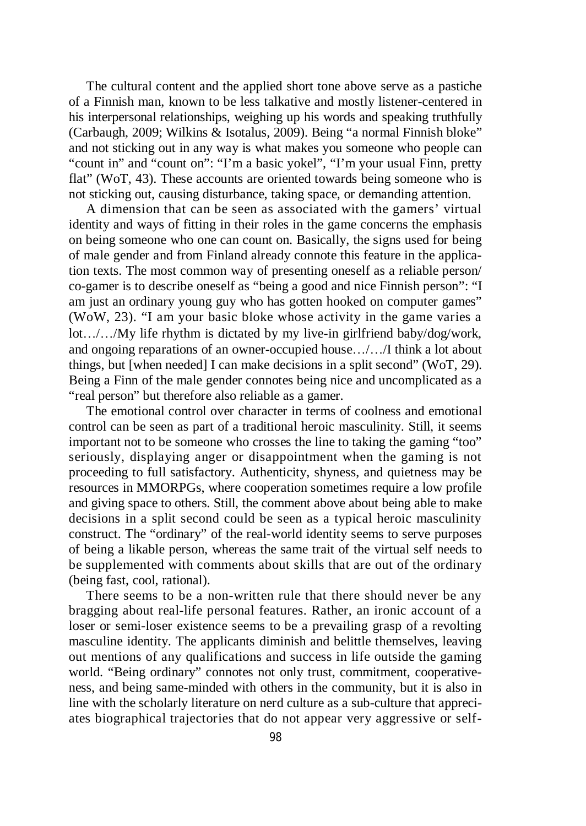The cultural content and the applied short tone above serve as a pastiche of a Finnish man, known to be less talkative and mostly listener-centered in his interpersonal relationships, weighing up his words and speaking truthfully (Carbaugh, 2009; Wilkins & Isotalus, 2009). Being "a normal Finnish bloke" and not sticking out in any way is what makes you someone who people can "count in" and "count on": "I'm a basic yokel", "I'm your usual Finn, pretty flat" (WoT, 43). These accounts are oriented towards being someone who is not sticking out, causing disturbance, taking space, or demanding attention.

A dimension that can be seen as associated with the gamers' virtual identity and ways of fitting in their roles in the game concerns the emphasis on being someone who one can count on. Basically, the signs used for being of male gender and from Finland already connote this feature in the application texts. The most common way of presenting oneself as a reliable person/ co-gamer is to describe oneself as "being a good and nice Finnish person": "I am just an ordinary young guy who has gotten hooked on computer games" (WoW, 23). "I am your basic bloke whose activity in the game varies a lot.../.../My life rhythm is dictated by my live-in girlfriend baby/dog/work, and ongoing reparations of an owner-occupied house.../.../I think a lot about things, but [when needed] I can make decisions in a split second" (WoT, 29). Being a Finn of the male gender connotes being nice and uncomplicated as a "real person" but therefore also reliable as a gamer.

The emotional control over character in terms of coolness and emotional control can be seen as part of a traditional heroic masculinity. Still, it seems important not to be someone who crosses the line to taking the gaming "too" seriously, displaying anger or disappointment when the gaming is not proceeding to full satisfactory. Authenticity, shyness, and quietness may be resources in MMORPGs, where cooperation sometimes require a low profile and giving space to others. Still, the comment above about being able to make decisions in a split second could be seen as a typical heroic masculinity construct. The "ordinary" of the real-world identity seems to serve purposes of being a likable person, whereas the same trait of the virtual self needs to be supplemented with comments about skills that are out of the ordinary (being fast, cool, rational).

There seems to be a non-written rule that there should never be any bragging about real-life personal features. Rather, an ironic account of a loser or semi-loser existence seems to be a prevailing grasp of a revolting masculine identity. The applicants diminish and belittle themselves, leaving out mentions of any qualifications and success in life outside the gaming world. "Being ordinary" connotes not only trust, commitment, cooperativeness, and being same-minded with others in the community, but it is also in line with the scholarly literature on nerd culture as a sub-culture that appreciates biographical trajectories that do not appear very aggressive or self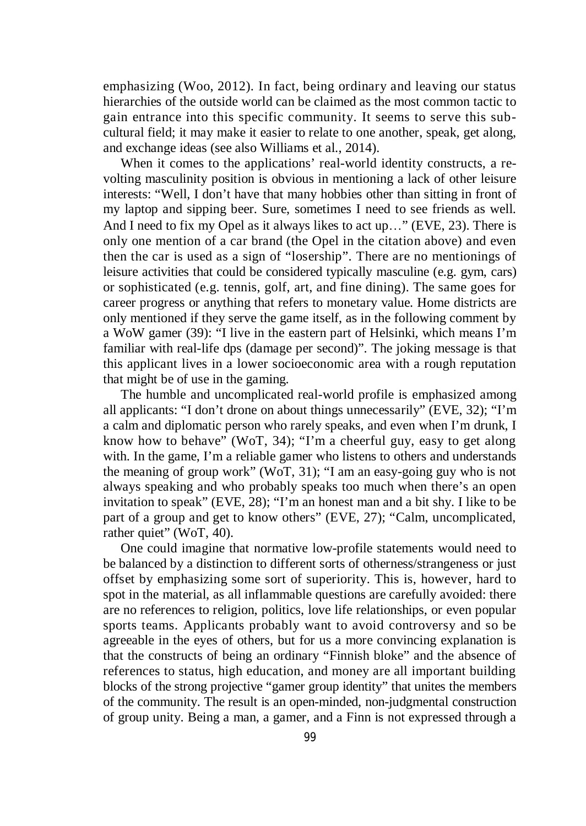emphasizing (Woo, 2012). In fact, being ordinary and leaving our status hierarchies of the outside world can be claimed as the most common tactic to gain entrance into this specific community. It seems to serve this subcultural field; it may make it easier to relate to one another, speak, get along, and exchange ideas (see also Williams et al., 2014).

When it comes to the applications' real-world identity constructs, a revolting masculinity position is obvious in mentioning a lack of other leisure interests: "Well, I don't have that many hobbies other than sitting in front of my laptop and sipping beer. Sure, sometimes I need to see friends as well. And I need to fix my Opel as it always likes to act up..." (EVE, 23). There is only one mention of a car brand (the Opel in the citation above) and even then the car is used as a sign of "losership". There are no mentionings of leisure activities that could be considered typically masculine (e.g. gym, cars) or sophisticated (e.g. tennis, golf, art, and fine dining). The same goes for career progress or anything that refers to monetary value. Home districts are only mentioned if they serve the game itself, as in the following comment by a WoW gamer (39): "I live in the eastern part of Helsinki, which means I'm familiar with real-life dps (damage per second)". The joking message is that this applicant lives in a lower socioeconomic area with a rough reputation that might be of use in the gaming.

The humble and uncomplicated real-world profile is emphasized among all applicants: "I don't drone on about things unnecessarily" (EVE, 32); "I'm a calm and diplomatic person who rarely speaks, and even when I'm drunk, I know how to behave" (WoT, 34); "I'm a cheerful guy, easy to get along with. In the game, I'm a reliable gamer who listens to others and understands the meaning of group work" (WoT, 31); "I am an easy-going guy who is not always speaking and who probably speaks too much when there's an open invitation to speak" (EVE, 28); "I'm an honest man and a bit shy. I like to be part of a group and get to know others" (EVE, 27); "Calm, uncomplicated, rather quiet" (WoT, 40).

One could imagine that normative low-profile statements would need to be balanced by a distinction to different sorts of otherness/strangeness or just offset by emphasizing some sort of superiority. This is, however, hard to spot in the material, as all inflammable questions are carefully avoided: there are no references to religion, politics, love life relationships, or even popular sports teams. Applicants probably want to avoid controversy and so be agreeable in the eyes of others, but for us a more convincing explanation is that the constructs of being an ordinary "Finnish bloke" and the absence of references to status, high education, and money are all important building blocks of the strong projective "gamer group identity" that unites the members of the community. The result is an open-minded, non-judgmental construction of group unity. Being a man, a gamer, and a Finn is not expressed through a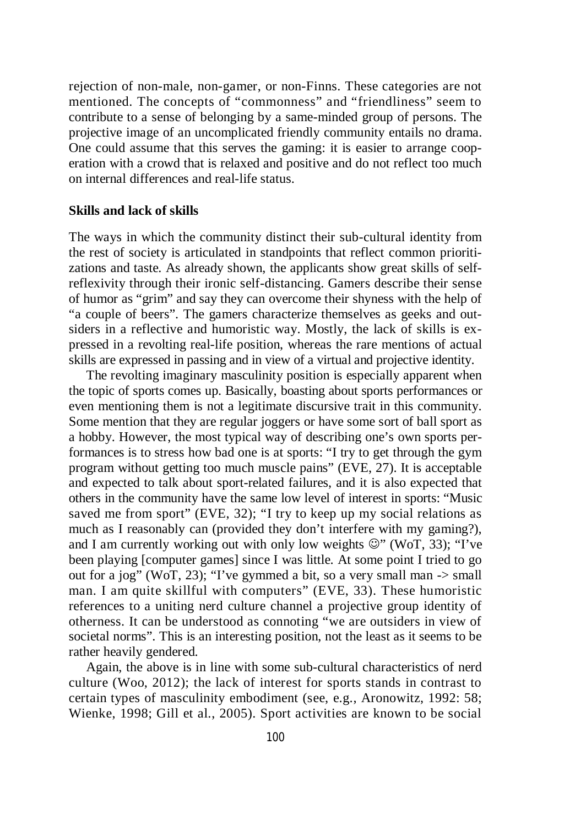rejection of non-male, non-gamer, or non-Finns. These categories are not mentioned. The concepts of "commonness" and "friendliness" seem to contribute to a sense of belonging by a same-minded group of persons. The projective image of an uncomplicated friendly community entails no drama. One could assume that this serves the gaming: it is easier to arrange cooperation with a crowd that is relaxed and positive and do not reflect too much on internal differences and real-life status.

#### **Skills and lack of skills**

The ways in which the community distinct their sub-cultural identity from the rest of society is articulated in standpoints that reflect common prioritizations and taste. As already shown, the applicants show great skills of selfreflexivity through their ironic self-distancing. Gamers describe their sense of humor as "grim" and say they can overcome their shyness with the help of "a couple of beers". The gamers characterize themselves as geeks and outsiders in a reflective and humoristic way. Mostly, the lack of skills is expressed in a revolting real-life position, whereas the rare mentions of actual skills are expressed in passing and in view of a virtual and projective identity.

The revolting imaginary masculinity position is especially apparent when the topic of sports comes up. Basically, boasting about sports performances or even mentioning them is not a legitimate discursive trait in this community. Some mention that they are regular joggers or have some sort of ball sport as a hobby. However, the most typical way of describing one's own sports performances is to stress how bad one is at sports: "I try to get through the gym program without getting too much muscle pains" (EVE, 27). It is acceptable and expected to talk about sport-related failures, and it is also expected that others in the community have the same low level of interest in sports: "Music saved me from sport" (EVE, 32); "I try to keep up my social relations as much as I reasonably can (provided they don't interfere with my gaming?), and I am currently working out with only low weights  $\mathbb{Q}$ " (WoT, 33); "I've been playing [computer games] since I was little. At some point I tried to go out for a jog" (WoT, 23); "I've gymmed a bit, so a very small man  $\rightarrow$  small man. I am quite skillful with computers" (EVE, 33). These humoristic references to a uniting nerd culture channel a projective group identity of otherness. It can be understood as connoting "we are outsiders in view of societal norms". This is an interesting position, not the least as it seems to be rather heavily gendered.

Again, the above is in line with some sub-cultural characteristics of nerd culture (Woo, 2012); the lack of interest for sports stands in contrast to certain types of masculinity embodiment (see, e.g., Aronowitz, 1992: 58; Wienke, 1998; Gill et al., 2005). Sport activities are known to be social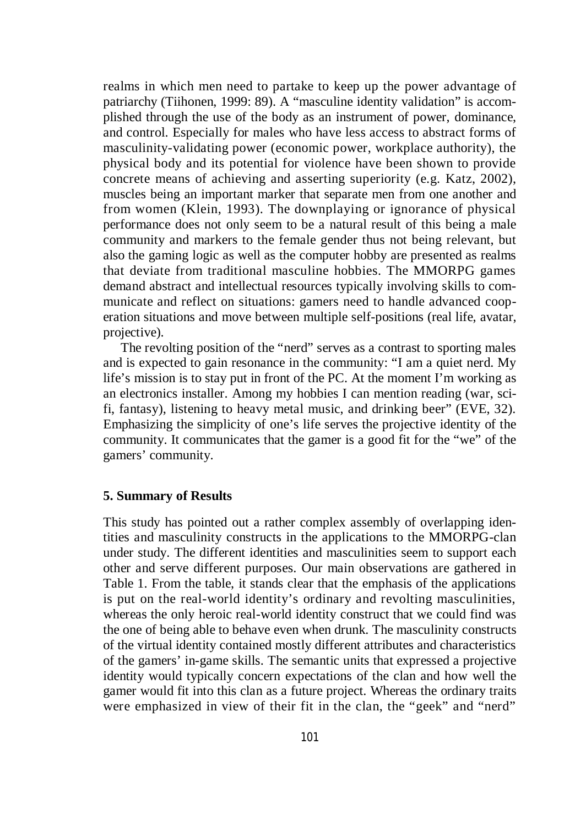realms in which men need to partake to keep up the power advantage of patriarchy (Tiihonen, 1999: 89). A "masculine identity validation" is accomplished through the use of the body as an instrument of power, dominance, and control. Especially for males who have less access to abstract forms of masculinity-validating power (economic power, workplace authority), the physical body and its potential for violence have been shown to provide concrete means of achieving and asserting superiority (e.g. Katz, 2002), muscles being an important marker that separate men from one another and from women (Klein, 1993). The downplaying or ignorance of physical performance does not only seem to be a natural result of this being a male community and markers to the female gender thus not being relevant, but also the gaming logic as well as the computer hobby are presented as realms that deviate from traditional masculine hobbies. The MMORPG games demand abstract and intellectual resources typically involving skills to communicate and reflect on situations: gamers need to handle advanced cooperation situations and move between multiple self-positions (real life, avatar, projective).

The revolting position of the "nerd" serves as a contrast to sporting males and is expected to gain resonance in the community: "I am a quiet nerd. My life's mission is to stay put in front of the PC. At the moment I'm working as an electronics installer. Among my hobbies I can mention reading (war, scifi, fantasy), listening to heavy metal music, and drinking beer" (EVE, 32). Emphasizing the simplicity of one's life serves the projective identity of the community. It communicates that the gamer is a good fit for the "we" of the gamers' community.

## **5. Summary of Results**

This study has pointed out a rather complex assembly of overlapping identities and masculinity constructs in the applications to the MMORPG-clan under study. The different identities and masculinities seem to support each other and serve different purposes. Our main observations are gathered in Table 1. From the table, it stands clear that the emphasis of the applications is put on the real-world identity's ordinary and revolting masculinities, whereas the only heroic real-world identity construct that we could find was the one of being able to behave even when drunk. The masculinity constructs of the virtual identity contained mostly different attributes and characteristics of the gamers' in-game skills. The semantic units that expressed a projective identity would typically concern expectations of the clan and how well the gamer would fit into this clan as a future project. Whereas the ordinary traits were emphasized in view of their fit in the clan, the "geek" and "nerd"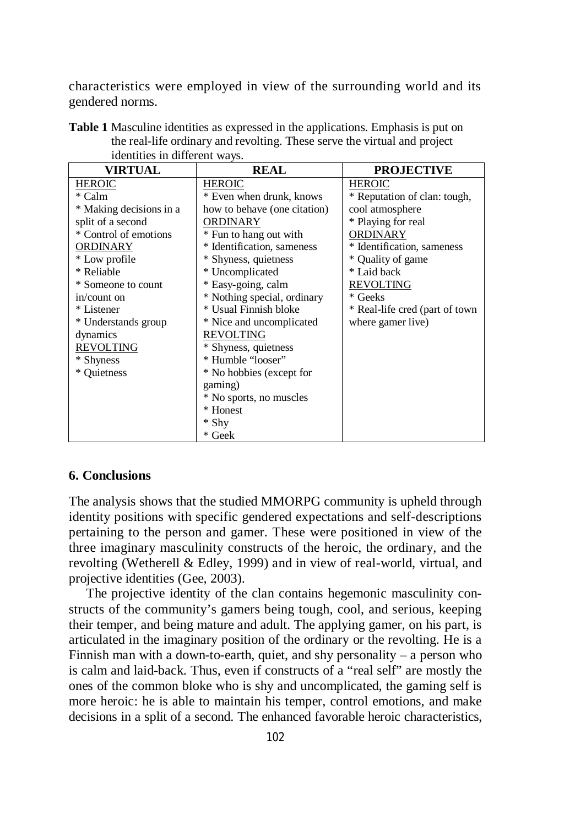characteristics were employed in view of the surrounding world and its gendered norms.

| identities in different ways. |                              |                                 |
|-------------------------------|------------------------------|---------------------------------|
| VIRTUAL                       | <b>REAL</b>                  | <b>PROJECTIVE</b>               |
| <b>HEROIC</b>                 | <b>HEROIC</b>                | <b>HEROIC</b>                   |
| * Calm                        | * Even when drunk, knows     | * Reputation of clan: tough,    |
| * Making decisions in a       | how to behave (one citation) | cool atmosphere                 |
| split of a second             | ORDINARY                     | * Playing for real              |
| * Control of emotions         | * Fun to hang out with       | ORDINARY                        |
| ORDINARY                      | * Identification, sameness   | * Identification, sameness      |
| * Low profile                 | * Shyness, quietness         | * Quality of game               |
| * Reliable                    | * Uncomplicated              | * Laid back                     |
| * Someone to count            | * Easy-going, calm           | <b>REVOLTING</b>                |
| in/count on                   | * Nothing special, ordinary  | * Geeks                         |
| * Listener                    | * Usual Finnish bloke        | * Real-life cred (part of town) |
| * Understands group           | * Nice and uncomplicated     | where gamer live)               |
| dynamics                      | <b>REVOLTING</b>             |                                 |
| <b>REVOLTING</b>              | * Shyness, quietness         |                                 |
| * Shyness                     | * Humble "looser"            |                                 |
| * Quietness                   | * No hobbies (except for     |                                 |
|                               | gaming)                      |                                 |
|                               | * No sports, no muscles      |                                 |
|                               | * Honest                     |                                 |
|                               | * Shy                        |                                 |
|                               | * Geek                       |                                 |

**Table 1** Masculine identities as expressed in the applications. Emphasis is put on the real-life ordinary and revolting. These serve the virtual and project identities in different

# **6. Conclusions**

The analysis shows that the studied MMORPG community is upheld through identity positions with specific gendered expectations and self-descriptions pertaining to the person and gamer. These were positioned in view of the three imaginary masculinity constructs of the heroic, the ordinary, and the revolting (Wetherell & Edley, 1999) and in view of real-world, virtual, and projective identities (Gee, 2003).

The projective identity of the clan contains hegemonic masculinity constructs of the community's gamers being tough, cool, and serious, keeping their temper, and being mature and adult. The applying gamer, on his part, is articulated in the imaginary position of the ordinary or the revolting. He is a Finnish man with a down-to-earth, quiet, and shy personality – a person who is calm and laid-back. Thus, even if constructs of a "real self" are mostly the ones of the common bloke who is shy and uncomplicated, the gaming self is more heroic: he is able to maintain his temper, control emotions, and make decisions in a split of a second. The enhanced favorable heroic characteristics,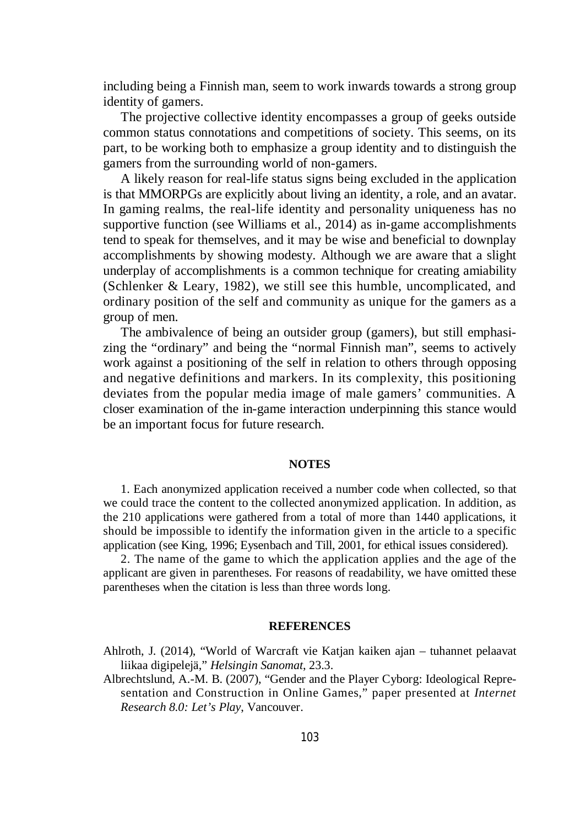including being a Finnish man, seem to work inwards towards a strong group identity of gamers.

The projective collective identity encompasses a group of geeks outside common status connotations and competitions of society. This seems, on its part, to be working both to emphasize a group identity and to distinguish the gamers from the surrounding world of non-gamers.

A likely reason for real-life status signs being excluded in the application is that MMORPGs are explicitly about living an identity, a role, and an avatar. In gaming realms, the real-life identity and personality uniqueness has no supportive function (see Williams et al., 2014) as in-game accomplishments tend to speak for themselves, and it may be wise and beneficial to downplay accomplishments by showing modesty. Although we are aware that a slight underplay of accomplishments is a common technique for creating amiability (Schlenker & Leary, 1982), we still see this humble, uncomplicated, and ordinary position of the self and community as unique for the gamers as a group of men.

The ambivalence of being an outsider group (gamers), but still emphasizing the "ordinary" and being the "normal Finnish man", seems to actively work against a positioning of the self in relation to others through opposing and negative definitions and markers. In its complexity, this positioning deviates from the popular media image of male gamers' communities. A closer examination of the in-game interaction underpinning this stance would be an important focus for future research.

#### **NOTES**

1. Each anonymized application received a number code when collected, so that we could trace the content to the collected anonymized application. In addition, as the 210 applications were gathered from a total of more than 1440 applications, it should be impossible to identify the information given in the article to a specific application (see King, 1996; Eysenbach and Till, 2001, for ethical issues considered).

2. The name of the game to which the application applies and the age of the applicant are given in parentheses. For reasons of readability, we have omitted these parentheses when the citation is less than three words long.

#### **REFERENCES**

- Ahlroth, J. (2014), "World of Warcraft vie Katjan kaiken ajan tuhannet pelaavat liikaa digipelejä," *Helsingin Sanomat*, 23.3.
- Albrechtslund, A.-M. B. (2007), "Gender and the Player Cyborg: Ideological Representation and Construction in Online Games," paper presented at *Internet Research 8.0: Let's Play*, Vancouver.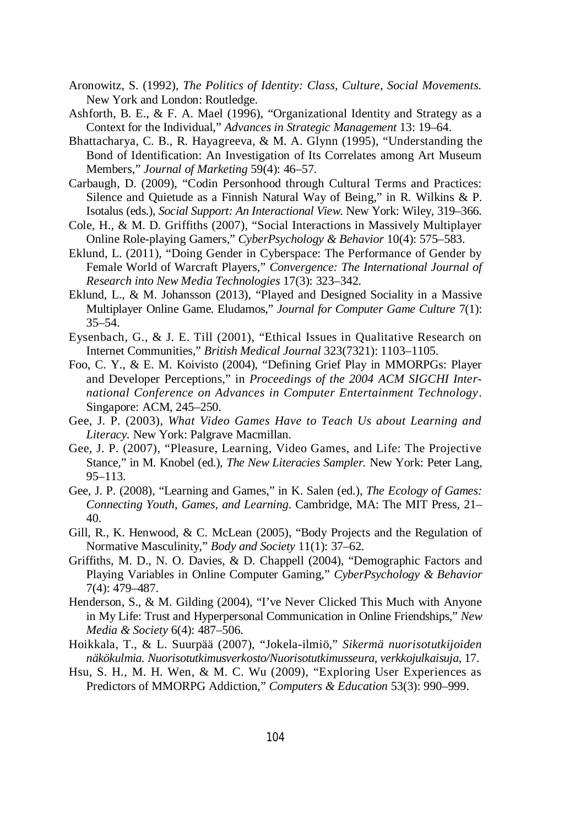- Aronowitz, S. (1992), *The Politics of Identity: Class, Culture, Social Movements.* New York and London: Routledge.
- Ashforth, B. E., & F. A. Mael (1996), "Organizational Identity and Strategy as a Context for the Individual," *Advances in Strategic Management* 13: 19–64.
- Bhattacharya, C. B., R. Hayagreeva, & M. A. Glynn (1995), "Understanding the Bond of Identification: An Investigation of Its Correlates among Art Museum Members," *Journal of Marketing* 59(4): 46–57.
- Carbaugh, D. (2009), "Codin Personhood through Cultural Terms and Practices: Silence and Quietude as a Finnish Natural Way of Being," in R. Wilkins & P. Isotalus (eds.), *Social Support: An Interactional View*. New York: Wiley, 319–366.
- Cole, H., & M. D. Griffiths (2007), "Social Interactions in Massively Multiplayer Online Role-playing Gamers," *CyberPsychology & Behavior* 10(4): 575–583.
- Eklund, L. (2011), "Doing Gender in Cyberspace: The Performance of Gender by Female World of Warcraft Players," *Convergence: The International Journal of Research into New Media Technologies* 17(3): 323–342.
- Eklund, L., & M. Johansson (2013), "Played and Designed Sociality in a Massive Multiplayer Online Game. Eludamos," *Journal for Computer Game Culture* 7(1): 35–54.
- Eysenbach, G., & J. E. Till (2001), "Ethical Issues in Qualitative Research on Internet Communities," *British Medical Journal* 323(7321): 1103–1105.
- Foo, C. Y., & E. M. Koivisto (2004), "Defining Grief Play in MMORPGs: Player and Developer Perceptions," in *Proceedings of the 2004 ACM SIGCHI International Conference on Advances in Computer Entertainment Technology*. Singapore: ACM, 245–250.
- Gee, J. P. (2003), *What Video Games Have to Teach Us about Learning and Literacy.* New York: Palgrave Macmillan.
- Gee, J. P. (2007), "Pleasure, Learning, Video Games, and Life: The Projective Stance," in M. Knobel (ed.), *The New Literacies Sampler.* New York: Peter Lang, 95–113.
- Gee, J. P. (2008), "Learning and Games," in K. Salen (ed.), *The Ecology of Games: Connecting Youth, Games, and Learning*. Cambridge, MA: The MIT Press, 21– 40.
- Gill, R., K. Henwood, & C. McLean (2005), "Body Projects and the Regulation of Normative Masculinity," *Body and Society* 11(1): 37–62.
- Griffiths, M. D., N. O. Davies, & D. Chappell (2004), "Demographic Factors and Playing Variables in Online Computer Gaming," *CyberPsychology & Behavior* 7(4): 479–487.
- Henderson, S., & M. Gilding (2004), "I've Never Clicked This Much with Anyone in My Life: Trust and Hyperpersonal Communication in Online Friendships," *New Media & Society* 6(4): 487–506.
- Hoikkala, T., & L. Suurpää (2007), "Jokela-ilmiö," *Sikermä nuorisotutkijoiden näkökulmia. Nuorisotutkimusverkosto/Nuorisotutkimusseura, verkkojulkaisuja*, 17.
- Hsu, S. H., M. H. Wen, & M. C. Wu (2009), "Exploring User Experiences as Predictors of MMORPG Addiction," *Computers & Education* 53(3): 990–999.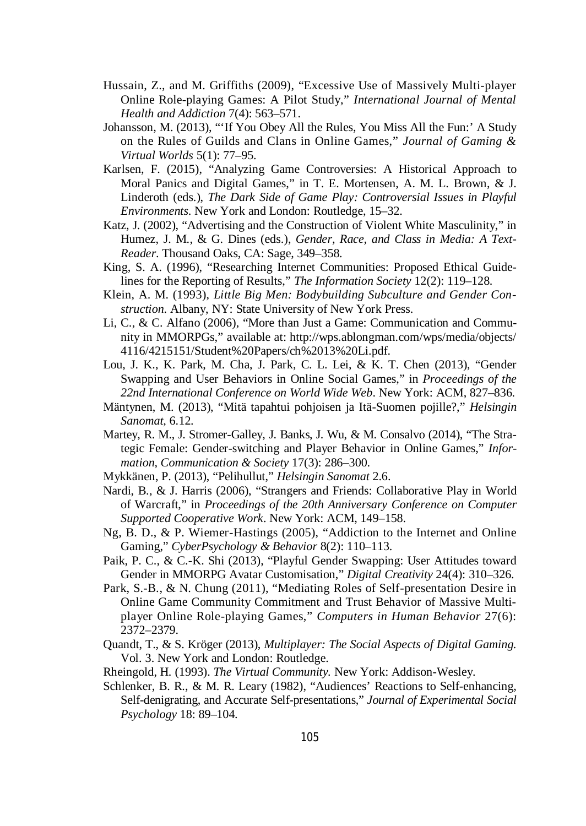- Hussain, Z., and M. Griffiths (2009), "Excessive Use of Massively Multi-player Online Role-playing Games: A Pilot Study," *International Journal of Mental Health and Addiction* 7(4): 563–571.
- Johansson, M. (2013), "'If You Obey All the Rules, You Miss All the Fun:' A Study on the Rules of Guilds and Clans in Online Games," *Journal of Gaming & Virtual Worlds* 5(1): 77–95.
- Karlsen, F. (2015), "Analyzing Game Controversies: A Historical Approach to Moral Panics and Digital Games," in T. E. Mortensen, A. M. L. Brown, & J. Linderoth (eds.), *The Dark Side of Game Play: Controversial Issues in Playful Environments*. New York and London: Routledge, 15–32.
- Katz, J. (2002), "Advertising and the Construction of Violent White Masculinity," in Humez, J. M., & G. Dines (eds.), *Gender, Race, and Class in Media: A Text-Reader*. Thousand Oaks, CA: Sage, 349–358.
- King, S. A. (1996), "Researching Internet Communities: Proposed Ethical Guidelines for the Reporting of Results," *The Information Society* 12(2): 119–128.
- Klein, A. M. (1993), *Little Big Men: Bodybuilding Subculture and Gender Construction.* Albany, NY: State University of New York Press.
- Li, C., & C. Alfano (2006), "More than Just a Game: Communication and Community in MMORPGs," available at: http://wps.ablongman.com/wps/media/objects/ 4116/4215151/Student%20Papers/ch%2013%20Li.pdf.
- Lou, J. K., K. Park, M. Cha, J. Park, C. L. Lei, & K. T. Chen (2013), "Gender Swapping and User Behaviors in Online Social Games," in *Proceedings of the 22nd International Conference on World Wide Web*. New York: ACM, 827–836.
- Mäntynen, M. (2013), "Mitä tapahtui pohjoisen ja Itä-Suomen pojille?," *Helsingin Sanomat*, 6.12.
- Martey, R. M., J. Stromer-Galley, J. Banks, J. Wu, & M. Consalvo (2014), "The Strategic Female: Gender-switching and Player Behavior in Online Games," *Information, Communication & Society* 17(3): 286–300.
- Mykkänen, P. (2013), "Pelihullut," *Helsingin Sanomat* 2.6.
- Nardi, B., & J. Harris (2006), "Strangers and Friends: Collaborative Play in World of Warcraft," in *Proceedings of the 20th Anniversary Conference on Computer Supported Cooperative Work*. New York: ACM, 149–158.
- Ng, B. D., & P. Wiemer-Hastings (2005), "Addiction to the Internet and Online Gaming," *CyberPsychology & Behavior* 8(2): 110–113.
- Paik, P. C., & C.-K. Shi (2013), "Playful Gender Swapping: User Attitudes toward Gender in MMORPG Avatar Customisation," *Digital Creativity* 24(4): 310–326.
- Park, S.-B., & N. Chung (2011), "Mediating Roles of Self-presentation Desire in Online Game Community Commitment and Trust Behavior of Massive Multiplayer Online Role-playing Games," *Computers in Human Behavior* 27(6): 2372–2379.
- Quandt, T., & S. Kröger (2013), *Multiplayer: The Social Aspects of Digital Gaming.* Vol. 3. New York and London: Routledge.
- Rheingold, H. (1993). *The Virtual Community.* New York: Addison-Wesley.
- Schlenker, B. R., & M. R. Leary (1982), "Audiences' Reactions to Self-enhancing, Self-denigrating, and Accurate Self-presentations," *Journal of Experimental Social Psychology* 18: 89–104.